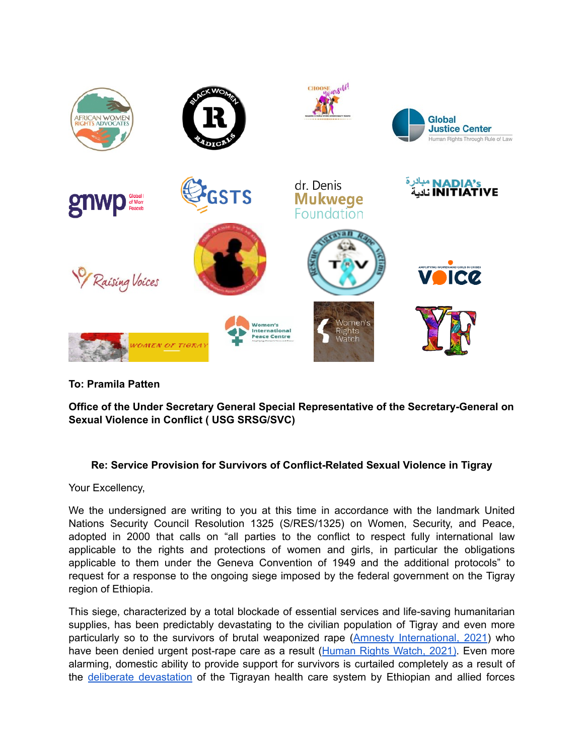

**To: Pramila Patten** 

**Office of the Under Secretary General Special Representative of the Secretary-General on Sexual Violence in Conflict ( USG SRSG/SVC)** 

## **Re: Service Provision for Survivors of Conflict-Related Sexual Violence in Tigray**

Your Excellency,

We the undersigned are writing to you at this time in accordance with the landmark United Nations Security Council Resolution 1325 (S/RES/1325) on Women, Security, and Peace, adopted in 2000 that calls on "all parties to the conflict to respect fully international law applicable to the rights and protections of women and girls, in particular the obligations applicable to them under the Geneva Convention of 1949 and the additional protocols" to request for a response to the ongoing siege imposed by the federal government on the Tigray region of Ethiopia.

This siege, characterized by a total blockade of essential services and life-saving humanitarian supplies, has been predictably devastating to the civilian population of Tigray and even more particularly so to the survivors of brutal weaponized rape ([Amnesty International, 2021](https://www.amnesty.org/en/documents/afr25/4569/2021/en/)) who have been denied urgent post-rape care as a result ([Human Rights Watch, 2021\).](https://www.hrw.org/report/2021/11/09/i-always-remember-day/access-services-survivors-gender-based-violence-ethiopias) Even more alarming, domestic ability to provide support for survivors is curtailed completely as a result of the [deliberate devastation](https://www.devex.com/news/tigray-the-deliberate-destruction-of-a-health-system-102252) of the Tigrayan health care system by Ethiopian and allied forces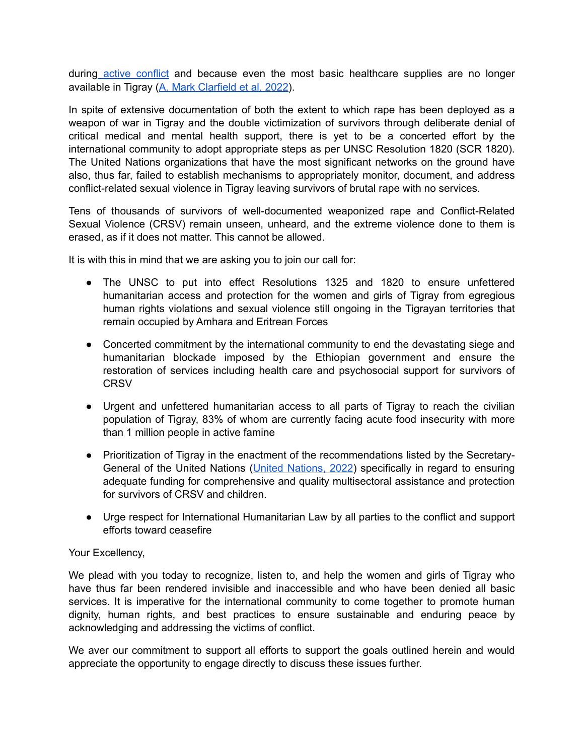during [active conflict](https://msf.org.uk/article/tigray-crisis-hospitals-and-healthcare-centres-deliberately-targetted) and because even the most basic healthcare supplies are no longer available in Tigray ([A. Mark Clarfield et al, 2022](https://www.thelancet.com/journals/lancet/article/PIIS0140-6736(22)00054-X/fulltext)).

In spite of extensive documentation of both the extent to which rape has been deployed as a weapon of war in Tigray and the double victimization of survivors through deliberate denial of critical medical and mental health support, there is yet to be a concerted effort by the international community to adopt appropriate steps as per UNSC Resolution 1820 (SCR 1820). The United Nations organizations that have the most significant networks on the ground have also, thus far, failed to establish mechanisms to appropriately monitor, document, and address conflict-related sexual violence in Tigray leaving survivors of brutal rape with no services.

Tens of thousands of survivors of well-documented weaponized rape and Conflict-Related Sexual Violence (CRSV) remain unseen, unheard, and the extreme violence done to them is erased, as if it does not matter. This cannot be allowed.

It is with this in mind that we are asking you to join our call for:

- The UNSC to put into effect Resolutions 1325 and 1820 to ensure unfettered humanitarian access and protection for the women and girls of Tigray from egregious human rights violations and sexual violence still ongoing in the Tigrayan territories that remain occupied by Amhara and Eritrean Forces
- Concerted commitment by the international community to end the devastating siege and humanitarian blockade imposed by the Ethiopian government and ensure the restoration of services including health care and psychosocial support for survivors of **CRSV**
- Urgent and unfettered humanitarian access to all parts of Tigray to reach the civilian population of Tigray, 83% of whom are currently facing acute food insecurity with more than 1 million people in active famine
- Prioritization of Tigray in the enactment of the recommendations listed by the Secretary-General of the United Nations (*United Nations, 2022*) specifically in regard to ensuring adequate funding for comprehensive and quality multisectoral assistance and protection for survivors of CRSV and children.
- Urge respect for International Humanitarian Law by all parties to the conflict and support efforts toward ceasefire

## Your Excellency,

We plead with you today to recognize, listen to, and help the women and girls of Tigray who have thus far been rendered invisible and inaccessible and who have been denied all basic services. It is imperative for the international community to come together to promote human dignity, human rights, and best practices to ensure sustainable and enduring peace by acknowledging and addressing the victims of conflict.

We aver our commitment to support all efforts to support the goals outlined herein and would appreciate the opportunity to engage directly to discuss these issues further.